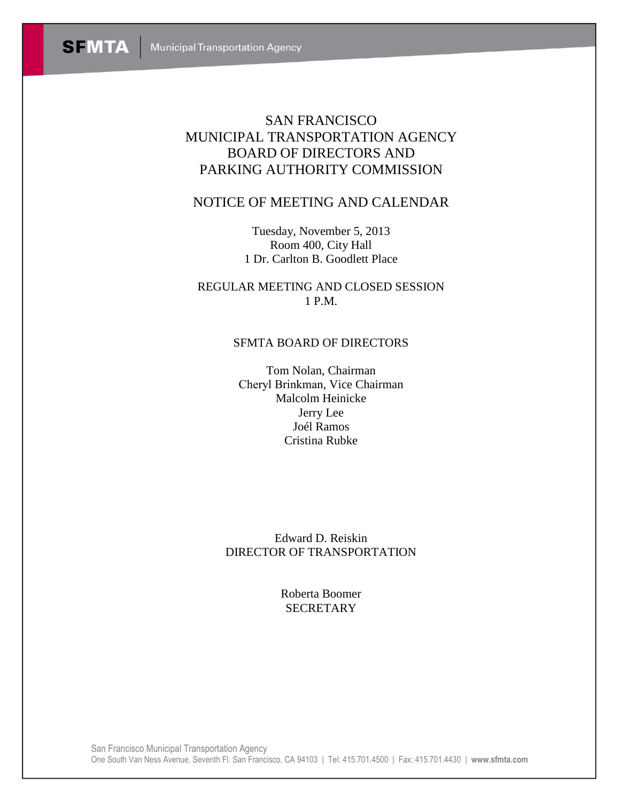# SAN FRANCISCO MUNICIPAL TRANSPORTATION AGENCY BOARD OF DIRECTORS AND PARKING AUTHORITY COMMISSION

## NOTICE OF MEETING AND CALENDAR

Tuesday, November 5, 2013 Room 400, City Hall 1 Dr. Carlton B. Goodlett Place

REGULAR MEETING AND CLOSED SESSION 1 P.M.

## SFMTA BOARD OF DIRECTORS

Tom Nolan, Chairman Cheryl Brinkman, Vice Chairman Malcolm Heinicke Jerry Lee Joél Ramos Cristina Rubke

Edward D. Reiskin DIRECTOR OF TRANSPORTATION

> Roberta Boomer **SECRETARY**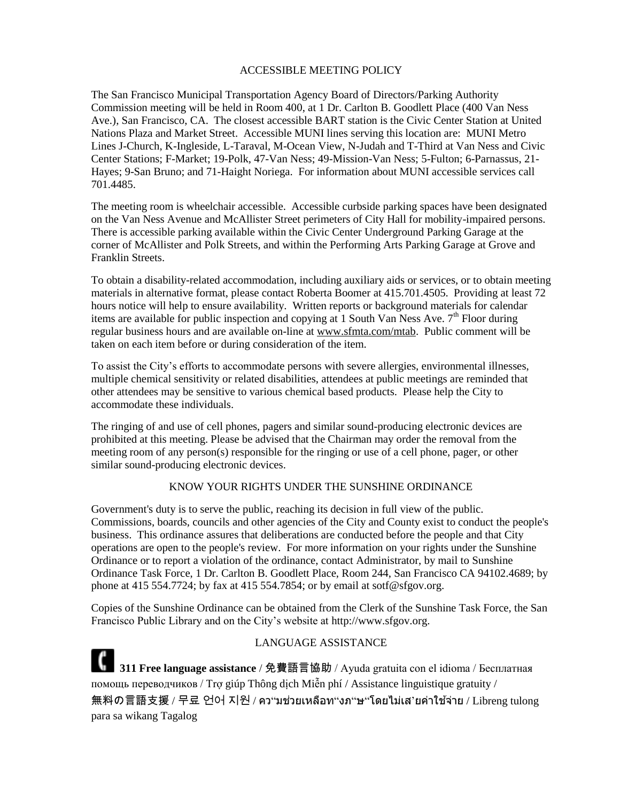#### ACCESSIBLE MEETING POLICY

The San Francisco Municipal Transportation Agency Board of Directors/Parking Authority Commission meeting will be held in Room 400, at 1 Dr. Carlton B. Goodlett Place (400 Van Ness Ave.), San Francisco, CA. The closest accessible BART station is the Civic Center Station at United Nations Plaza and Market Street. Accessible MUNI lines serving this location are: MUNI Metro Lines J-Church, K-Ingleside, L-Taraval, M-Ocean View, N-Judah and T-Third at Van Ness and Civic Center Stations; F-Market; 19-Polk, 47-Van Ness; 49-Mission-Van Ness; 5-Fulton; 6-Parnassus, 21- Hayes; 9-San Bruno; and 71-Haight Noriega. For information about MUNI accessible services call 701.4485.

The meeting room is wheelchair accessible. Accessible curbside parking spaces have been designated on the Van Ness Avenue and McAllister Street perimeters of City Hall for mobility-impaired persons. There is accessible parking available within the Civic Center Underground Parking Garage at the corner of McAllister and Polk Streets, and within the Performing Arts Parking Garage at Grove and Franklin Streets.

To obtain a disability-related accommodation, including auxiliary aids or services, or to obtain meeting materials in alternative format, please contact Roberta Boomer at 415.701.4505. Providing at least 72 hours notice will help to ensure availability. Written reports or background materials for calendar items are available for public inspection and copying at 1 South Van Ness Ave.  $7<sup>th</sup>$  Floor during regular business hours and are available on-line at [www.sfmta.com/mtab.](http://www.sfmta.com/mtab) Public comment will be taken on each item before or during consideration of the item.

To assist the City's efforts to accommodate persons with severe allergies, environmental illnesses, multiple chemical sensitivity or related disabilities, attendees at public meetings are reminded that other attendees may be sensitive to various chemical based products. Please help the City to accommodate these individuals.

The ringing of and use of cell phones, pagers and similar sound-producing electronic devices are prohibited at this meeting. Please be advised that the Chairman may order the removal from the meeting room of any person(s) responsible for the ringing or use of a cell phone, pager, or other similar sound-producing electronic devices.

#### KNOW YOUR RIGHTS UNDER THE SUNSHINE ORDINANCE

Government's duty is to serve the public, reaching its decision in full view of the public. Commissions, boards, councils and other agencies of the City and County exist to conduct the people's business. This ordinance assures that deliberations are conducted before the people and that City operations are open to the people's review. For more information on your rights under the Sunshine Ordinance or to report a violation of the ordinance, contact Administrator, by mail to Sunshine Ordinance Task Force, 1 Dr. Carlton B. Goodlett Place, Room 244, San Francisco CA 94102.4689; by phone at 415 554.7724; by fax at 415 554.7854; or by email at sotf@sfgov.org.

Copies of the Sunshine Ordinance can be obtained from the Clerk of the Sunshine Task Force, the San Francisco Public Library and on the City's website at http://www.sfgov.org.

LANGUAGE ASSISTANCE **311 Free language assistance** / 免費語言協助 / Ayuda gratuita con el idioma / Бесплатная помощь переводчиков / Trợ giúp Thông dịch Miễn phí / Assistance linguistique gratuity / 無料の言語支援 / 무료 언어 지원 / คว"มช่วยเหลือท"งภ"ษ"โดยไม่เส'ยค่าใช้จ่าย / Libreng tulong para sa wikang Tagalog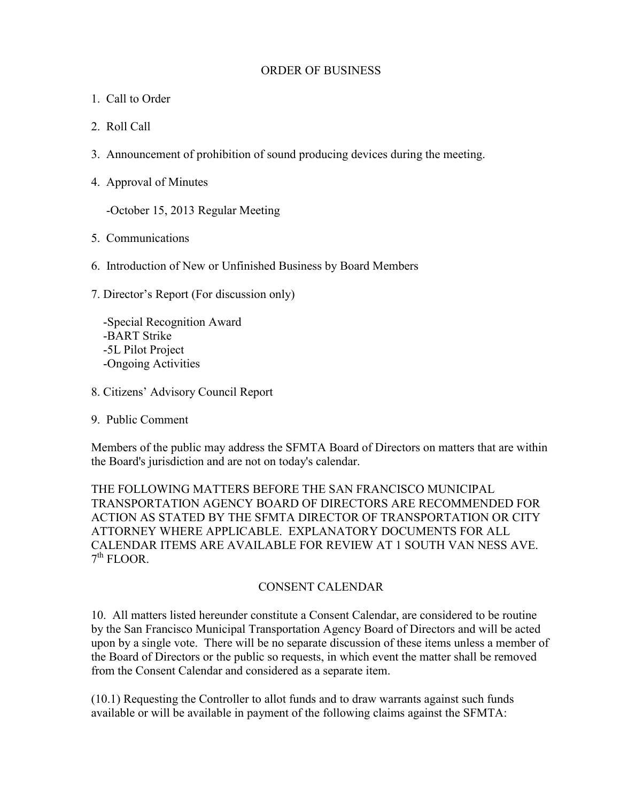#### ORDER OF BUSINESS

- 1. Call to Order
- 2. Roll Call
- 3. Announcement of prohibition of sound producing devices during the meeting.
- 4. Approval of Minutes

-October 15, 2013 Regular Meeting

- 5. Communications
- 6. Introduction of New or Unfinished Business by Board Members
- 7. Director's Report (For discussion only)

 -Special Recognition Award -BART Strike -5L Pilot Project -Ongoing Activities

- 8. Citizens' Advisory Council Report
- 9. Public Comment

Members of the public may address the SFMTA Board of Directors on matters that are within the Board's jurisdiction and are not on today's calendar.

THE FOLLOWING MATTERS BEFORE THE SAN FRANCISCO MUNICIPAL TRANSPORTATION AGENCY BOARD OF DIRECTORS ARE RECOMMENDED FOR ACTION AS STATED BY THE SFMTA DIRECTOR OF TRANSPORTATION OR CITY ATTORNEY WHERE APPLICABLE. EXPLANATORY DOCUMENTS FOR ALL CALENDAR ITEMS ARE AVAILABLE FOR REVIEW AT 1 SOUTH VAN NESS AVE. 7<sup>th</sup> FLOOR.

#### CONSENT CALENDAR

10. All matters listed hereunder constitute a Consent Calendar, are considered to be routine by the San Francisco Municipal Transportation Agency Board of Directors and will be acted upon by a single vote. There will be no separate discussion of these items unless a member of the Board of Directors or the public so requests, in which event the matter shall be removed from the Consent Calendar and considered as a separate item.

(10.1) Requesting the Controller to allot funds and to draw warrants against such funds available or will be available in payment of the following claims against the SFMTA: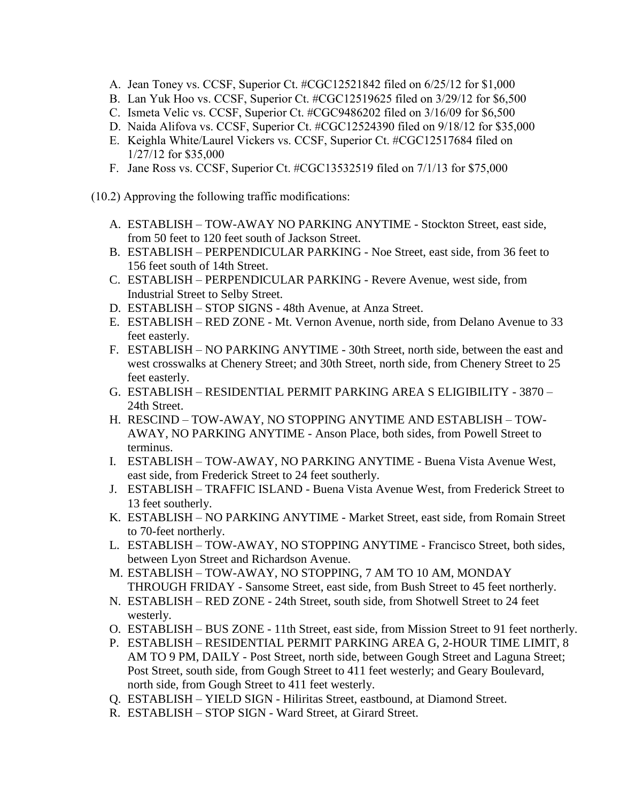- A. Jean Toney vs. CCSF, Superior Ct. #CGC12521842 filed on 6/25/12 for \$1,000
- B. Lan Yuk Hoo vs. CCSF, Superior Ct. #CGC12519625 filed on 3/29/12 for \$6,500
- C. Ismeta Velic vs. CCSF, Superior Ct. #CGC9486202 filed on 3/16/09 for \$6,500
- D. Naida Alifova vs. CCSF, Superior Ct. #CGC12524390 filed on 9/18/12 for \$35,000
- E. Keighla White/Laurel Vickers vs. CCSF, Superior Ct. #CGC12517684 filed on 1/27/12 for \$35,000
- F. Jane Ross vs. CCSF, Superior Ct. #CGC13532519 filed on 7/1/13 for \$75,000
- (10.2) Approving the following traffic modifications:
	- A. ESTABLISH TOW-AWAY NO PARKING ANYTIME Stockton Street, east side, from 50 feet to 120 feet south of Jackson Street.
	- B. ESTABLISH PERPENDICULAR PARKING Noe Street, east side, from 36 feet to 156 feet south of 14th Street.
	- C. ESTABLISH PERPENDICULAR PARKING Revere Avenue, west side, from Industrial Street to Selby Street.
	- D. ESTABLISH STOP SIGNS 48th Avenue, at Anza Street.
	- E. ESTABLISH RED ZONE Mt. Vernon Avenue, north side, from Delano Avenue to 33 feet easterly.
	- F. ESTABLISH NO PARKING ANYTIME 30th Street, north side, between the east and west crosswalks at Chenery Street; and 30th Street, north side, from Chenery Street to 25 feet easterly.
	- G. ESTABLISH RESIDENTIAL PERMIT PARKING AREA S ELIGIBILITY 3870 24th Street.
	- H. RESCIND TOW-AWAY, NO STOPPING ANYTIME AND ESTABLISH TOW-AWAY, NO PARKING ANYTIME - Anson Place, both sides, from Powell Street to terminus.
	- I. ESTABLISH TOW-AWAY, NO PARKING ANYTIME Buena Vista Avenue West, east side, from Frederick Street to 24 feet southerly.
	- J. ESTABLISH TRAFFIC ISLAND Buena Vista Avenue West, from Frederick Street to 13 feet southerly.
	- K. ESTABLISH NO PARKING ANYTIME Market Street, east side, from Romain Street to 70-feet northerly.
	- L. ESTABLISH TOW-AWAY, NO STOPPING ANYTIME Francisco Street, both sides, between Lyon Street and Richardson Avenue.
	- M. ESTABLISH TOW-AWAY, NO STOPPING, 7 AM TO 10 AM, MONDAY THROUGH FRIDAY - Sansome Street, east side, from Bush Street to 45 feet northerly.
	- N. ESTABLISH RED ZONE 24th Street, south side, from Shotwell Street to 24 feet westerly.
	- O. ESTABLISH BUS ZONE 11th Street, east side, from Mission Street to 91 feet northerly.
	- P. ESTABLISH RESIDENTIAL PERMIT PARKING AREA G, 2-HOUR TIME LIMIT, 8 AM TO 9 PM, DAILY - Post Street, north side, between Gough Street and Laguna Street; Post Street, south side, from Gough Street to 411 feet westerly; and Geary Boulevard, north side, from Gough Street to 411 feet westerly.
	- Q. ESTABLISH YIELD SIGN Hiliritas Street, eastbound, at Diamond Street.
	- R. ESTABLISH STOP SIGN Ward Street, at Girard Street.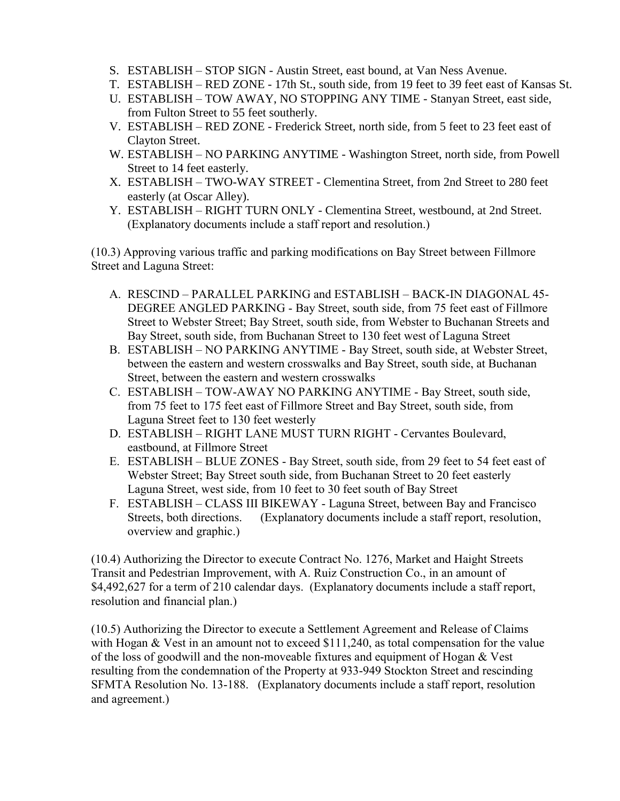- S. ESTABLISH STOP SIGN Austin Street, east bound, at Van Ness Avenue.
- T. ESTABLISH RED ZONE 17th St., south side, from 19 feet to 39 feet east of Kansas St.
- U. ESTABLISH TOW AWAY, NO STOPPING ANY TIME Stanyan Street, east side, from Fulton Street to 55 feet southerly.
- V. ESTABLISH RED ZONE Frederick Street, north side, from 5 feet to 23 feet east of Clayton Street.
- W. ESTABLISH NO PARKING ANYTIME Washington Street, north side, from Powell Street to 14 feet easterly.
- X. ESTABLISH TWO-WAY STREET Clementina Street, from 2nd Street to 280 feet easterly (at Oscar Alley).
- Y. ESTABLISH RIGHT TURN ONLY Clementina Street, westbound, at 2nd Street. (Explanatory documents include a staff report and resolution.)

(10.3) Approving various traffic and parking modifications on Bay Street between Fillmore Street and Laguna Street:

- A. RESCIND PARALLEL PARKING and ESTABLISH BACK-IN DIAGONAL 45- DEGREE ANGLED PARKING - Bay Street, south side, from 75 feet east of Fillmore Street to Webster Street; Bay Street, south side, from Webster to Buchanan Streets and Bay Street, south side, from Buchanan Street to 130 feet west of Laguna Street
- B. ESTABLISH NO PARKING ANYTIME Bay Street, south side, at Webster Street, between the eastern and western crosswalks and Bay Street, south side, at Buchanan Street, between the eastern and western crosswalks
- C. ESTABLISH TOW-AWAY NO PARKING ANYTIME Bay Street, south side, from 75 feet to 175 feet east of Fillmore Street and Bay Street, south side, from Laguna Street feet to 130 feet westerly
- D. ESTABLISH RIGHT LANE MUST TURN RIGHT Cervantes Boulevard, eastbound, at Fillmore Street
- E. ESTABLISH BLUE ZONES Bay Street, south side, from 29 feet to 54 feet east of Webster Street; Bay Street south side, from Buchanan Street to 20 feet easterly Laguna Street, west side, from 10 feet to 30 feet south of Bay Street
- F. ESTABLISH CLASS III BIKEWAY Laguna Street, between Bay and Francisco Streets, both directions. (Explanatory documents include a staff report, resolution, overview and graphic.)

(10.4) Authorizing the Director to execute Contract No. 1276, Market and Haight Streets Transit and Pedestrian Improvement, with A. Ruiz Construction Co., in an amount of \$4,492,627 for a term of 210 calendar days. (Explanatory documents include a staff report, resolution and financial plan.)

(10.5) Authorizing the Director to execute a Settlement Agreement and Release of Claims with Hogan & Vest in an amount not to exceed \$111,240, as total compensation for the value of the loss of goodwill and the non-moveable fixtures and equipment of Hogan & Vest resulting from the condemnation of the Property at 933-949 Stockton Street and rescinding SFMTA Resolution No. 13-188. (Explanatory documents include a staff report, resolution and agreement.)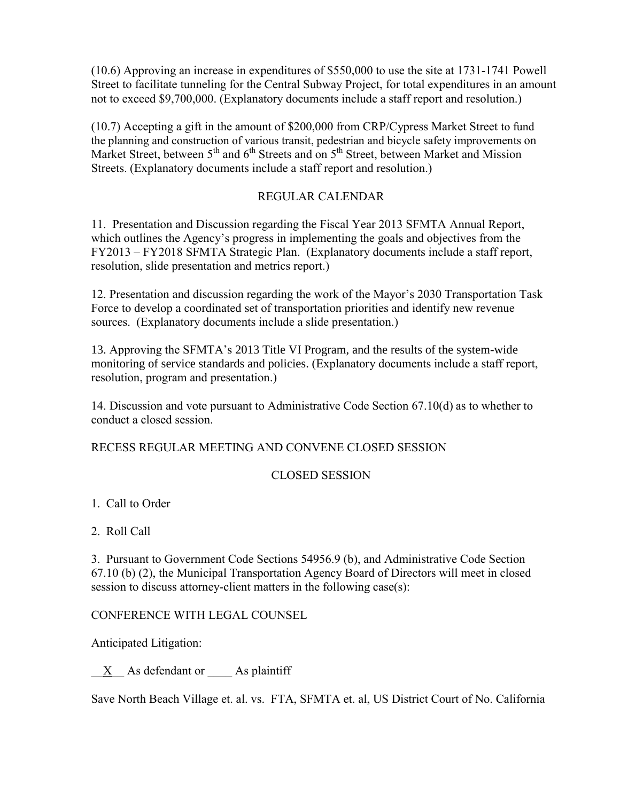(10.6) Approving an increase in expenditures of \$550,000 to use the site at 1731-1741 Powell Street to facilitate tunneling for the Central Subway Project, for total expenditures in an amount not to exceed \$9,700,000. (Explanatory documents include a staff report and resolution.)

(10.7) Accepting a gift in the amount of \$200,000 from CRP/Cypress Market Street to fund the planning and construction of various transit, pedestrian and bicycle safety improvements on Market Street, between  $5<sup>th</sup>$  and  $6<sup>th</sup>$  Streets and on  $5<sup>th</sup>$  Street, between Market and Mission Streets. (Explanatory documents include a staff report and resolution.)

## REGULAR CALENDAR

11. Presentation and Discussion regarding the Fiscal Year 2013 SFMTA Annual Report, which outlines the Agency's progress in implementing the goals and objectives from the FY2013 – FY2018 SFMTA Strategic Plan. (Explanatory documents include a staff report, resolution, slide presentation and metrics report.)

12. Presentation and discussion regarding the work of the Mayor's 2030 Transportation Task Force to develop a coordinated set of transportation priorities and identify new revenue sources. (Explanatory documents include a slide presentation.)

13. Approving the SFMTA's 2013 Title VI Program, and the results of the system-wide monitoring of service standards and policies. (Explanatory documents include a staff report, resolution, program and presentation.)

14. Discussion and vote pursuant to Administrative Code Section 67.10(d) as to whether to conduct a closed session.

RECESS REGULAR MEETING AND CONVENE CLOSED SESSION

## CLOSED SESSION

1. Call to Order

2. Roll Call

3. Pursuant to Government Code Sections 54956.9 (b), and Administrative Code Section 67.10 (b) (2), the Municipal Transportation Agency Board of Directors will meet in closed session to discuss attorney-client matters in the following case(s):

## CONFERENCE WITH LEGAL COUNSEL

Anticipated Litigation:

 $\underline{X}$  As defendant or As plaintiff

Save North Beach Village et. al. vs. FTA, SFMTA et. al, US District Court of No. California